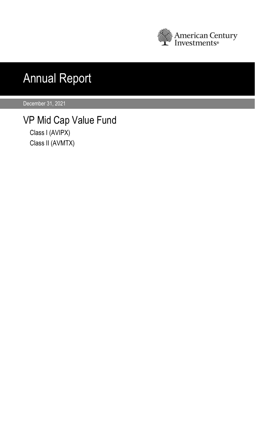

# Annual Report

December 31, 2021

VP Mid Cap Value Fund Class I (AVIPX) Class II (AVMTX)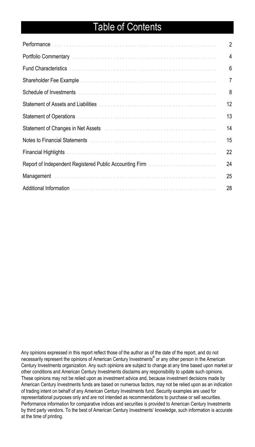### Table of Contents

|                                                                                                                                                                                                                                                                         | $\overline{2}$ |
|-------------------------------------------------------------------------------------------------------------------------------------------------------------------------------------------------------------------------------------------------------------------------|----------------|
|                                                                                                                                                                                                                                                                         | 4              |
|                                                                                                                                                                                                                                                                         | 6              |
|                                                                                                                                                                                                                                                                         | 7              |
|                                                                                                                                                                                                                                                                         | 8              |
| Statement of Assets and Liabilities <b>Statement and Statement of Assets and Liabilities</b>                                                                                                                                                                            | 12             |
|                                                                                                                                                                                                                                                                         | 13             |
| Statement of Changes in Net Assets <b>Constant Changes</b> in the Assets <b>Constant Changes</b> in Net Assets <b>Changes</b> in Net Assets <b>Changes</b> in Net Assets <b>Changes</b> in Net Assets <b>Changes</b> in Net Assets <b>Changes</b> in Net Assets <b></b> | 14             |
|                                                                                                                                                                                                                                                                         | 15             |
|                                                                                                                                                                                                                                                                         | 22             |
| Report of Independent Registered Public Accounting Firm <b>Fig. 1996</b> Contract Contract Publishers And The Publishers                                                                                                                                                | 24             |
|                                                                                                                                                                                                                                                                         | 25             |
|                                                                                                                                                                                                                                                                         | 28             |

Any opinions expressed in this report reflect those of the author as of the date of the report, and do not necessarily represent the opinions of American Century Investments<sup>®</sup> or any other person in the American Century Investments organization. Any such opinions are subject to change at any time based upon market or other conditions and American Century Investments disclaims any responsibility to update such opinions. These opinions may not be relied upon as investment advice and, because investment decisions made by American Century Investments funds are based on numerous factors, may not be relied upon as an indication of trading intent on behalf of any American Century Investments fund. Security examples are used for representational purposes only and are not intended as recommendations to purchase or sell securities. Performance information for comparative indices and securities is provided to American Century Investments by third party vendors. To the best of American Century Investments' knowledge, such information is accurate at the time of printing.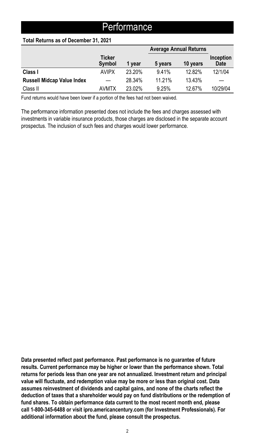### **Performance**

<span id="page-3-0"></span>

| Total Returns as of December 31, 2021 |  |
|---------------------------------------|--|
|                                       |  |

|                                   |                  |        |         | <b>Average Annual Returns</b> |                          |
|-----------------------------------|------------------|--------|---------|-------------------------------|--------------------------|
|                                   | Ticker<br>Symbol | 1 vear | 5 years | 10 years                      | Inception<br><b>Date</b> |
| Class I                           | <b>AVIPX</b>     | 23.20% | 9.41%   | 12.82%                        | 12/1/04                  |
| <b>Russell Midcap Value Index</b> |                  | 28.34% | 11.21%  | 13.43%                        |                          |
| Class II                          | <b>AVMTX</b>     | 23.02% | 9.25%   | 12.67%                        | 10/29/04                 |

Fund returns would have been lower if a portion of the fees had not been waived.

The performance information presented does not include the fees and charges assessed with investments in variable insurance products, those charges are disclosed in the separate account prospectus. The inclusion of such fees and charges would lower performance.

**Data presented reflect past performance. Past performance is no guarantee of future results. Current performance may be higher or lower than the performance shown. Total returns for periods less than one year are not annualized. Investment return and principal value will fluctuate, and redemption value may be more or less than original cost. Data assumes reinvestment of dividends and capital gains, and none of the charts reflect the deduction of taxes that a shareholder would pay on fund distributions or the redemption of fund shares. To obtain performance data current to the most recent month end, please call 1-800-345-6488 or visit ipro.americancentury.com (for Investment Professionals). For additional information about the fund, please consult the prospectus.**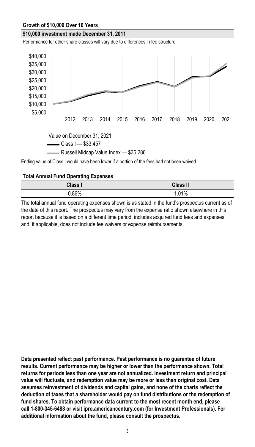#### **Growth of \$10,000 Over 10 Years**

#### **\$10,000 investment made December 31, 2011**

Performance for other share classes will vary due to differences in fee structure.



Value on December 31, 2021  $-$  Class I  $-$  \$33,457 **Russell Midcap Value Index - \$35,286** 

Ending value of Class I would have been lower if a portion of the fees had not been waived.

#### **Total Annual Fund Operating Expenses**

| Class I  | Class II |
|----------|----------|
| $0.86\%$ | .01%     |

The total annual fund operating expenses shown is as stated in the fund's prospectus current as of the date of this report. The prospectus may vary from the expense ratio shown elsewhere in this report because it is based on a different time period, includes acquired fund fees and expenses, and, if applicable, does not include fee waivers or expense reimbursements.

**Data presented reflect past performance. Past performance is no guarantee of future results. Current performance may be higher or lower than the performance shown. Total returns for periods less than one year are not annualized. Investment return and principal value will fluctuate, and redemption value may be more or less than original cost. Data assumes reinvestment of dividends and capital gains, and none of the charts reflect the deduction of taxes that a shareholder would pay on fund distributions or the redemption of fund shares. To obtain performance data current to the most recent month end, please call 1-800-345-6488 or visit ipro.americancentury.com (for Investment Professionals). For additional information about the fund, please consult the prospectus.**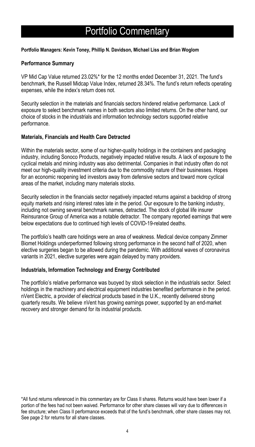### Portfolio Commentary

#### <span id="page-5-0"></span>**Portfolio Managers: Kevin Toney, Phillip N. Davidson, Michael Liss and Brian Woglom**

#### **Performance Summary**

VP Mid Cap Value returned 23.02%\* for the 12 months ended December 31, 2021. The fund's benchmark, the Russell Midcap Value Index, returned 28.34%. The fund's return reflects operating expenses, while the index's return does not.

Security selection in the materials and financials sectors hindered relative performance. Lack of exposure to select benchmark names in both sectors also limited returns. On the other hand, our choice of stocks in the industrials and information technology sectors supported relative performance.

#### **Materials, Financials and Health Care Detracted**

Within the materials sector, some of our higher-quality holdings in the containers and packaging industry, including Sonoco Products, negatively impacted relative results. A lack of exposure to the cyclical metals and mining industry was also detrimental. Companies in that industry often do not meet our high-quality investment criteria due to the commodity nature of their businesses. Hopes for an economic reopening led investors away from defensive sectors and toward more cyclical areas of the market, including many materials stocks.

Security selection in the financials sector negatively impacted returns against a backdrop of strong equity markets and rising interest rates late in the period. Our exposure to the banking industry, including not owning several benchmark names, detracted. The stock of global life insurer Reinsurance Group of America was a notable detractor. The company reported earnings that were below expectations due to continued high levels of COVID-19-related deaths.

The portfolio's health care holdings were an area of weakness. Medical device company Zimmer Biomet Holdings underperformed following strong performance in the second half of 2020, when elective surgeries began to be allowed during the pandemic. With additional waves of coronavirus variants in 2021, elective surgeries were again delayed by many providers.

#### **Industrials, Information Technology and Energy Contributed**

The portfolio's relative performance was buoyed by stock selection in the industrials sector. Select holdings in the machinery and electrical equipment industries benefited performance in the period. nVent Electric, a provider of electrical products based in the U.K., recently delivered strong quarterly results. We believe nVent has growing earnings power, supported by an end-market recovery and stronger demand for its industrial products.

\*All fund returns referenced in this commentary are for Class II shares. Returns would have been lower if a portion of the fees had not been waived. Performance for other share classes will vary due to differences in fee structure; when Class II performance exceeds that of the fund's benchmark, other share classes may not. See page 2 for returns for all share classes.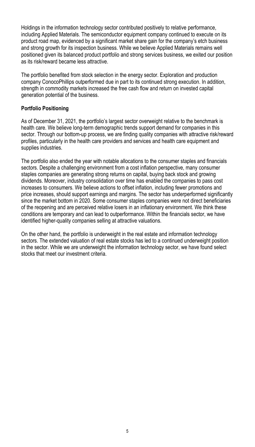Holdings in the information technology sector contributed positively to relative performance, including Applied Materials. The semiconductor equipment company continued to execute on its product road map, evidenced by a significant market share gain for the company's etch business and strong growth for its inspection business. While we believe Applied Materials remains well positioned given its balanced product portfolio and strong services business, we exited our position as its risk/reward became less attractive.

The portfolio benefited from stock selection in the energy sector. Exploration and production company ConocoPhillips outperformed due in part to its continued strong execution. In addition, strength in commodity markets increased the free cash flow and return on invested capital generation potential of the business.

#### **Portfolio Positioning**

As of December 31, 2021, the portfolio's largest sector overweight relative to the benchmark is health care. We believe long-term demographic trends support demand for companies in this sector. Through our bottom-up process, we are finding quality companies with attractive risk/reward profiles, particularly in the health care providers and services and health care equipment and supplies industries.

The portfolio also ended the year with notable allocations to the consumer staples and financials sectors. Despite a challenging environment from a cost inflation perspective, many consumer staples companies are generating strong returns on capital, buying back stock and growing dividends. Moreover, industry consolidation over time has enabled the companies to pass cost increases to consumers. We believe actions to offset inflation, including fewer promotions and price increases, should support earnings and margins. The sector has underperformed significantly since the market bottom in 2020. Some consumer staples companies were not direct beneficiaries of the reopening and are perceived relative losers in an inflationary environment. We think these conditions are temporary and can lead to outperformance. Within the financials sector, we have identified higher-quality companies selling at attractive valuations.

On the other hand, the portfolio is underweight in the real estate and information technology sectors. The extended valuation of real estate stocks has led to a continued underweight position in the sector. While we are underweight the information technology sector, we have found select stocks that meet our investment criteria.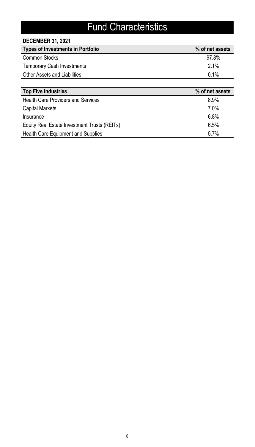# Fund Characteristics

#### <span id="page-7-0"></span>**DECEMBER 31, 2021**

| <b>Types of Investments in Portfolio</b> | % of net assets |
|------------------------------------------|-----------------|
| <b>Common Stocks</b>                     | 97.8%           |
| <b>Temporary Cash Investments</b>        | 2.1%            |
| Other Assets and Liabilities             | 0.1%            |
|                                          |                 |
| <b>Top Five Industries</b>               | % of net assets |
| <b>Lleeth Case Drawders and Campass</b>  | 0.001           |

| <b>Health Care Providers and Services</b>    | 8.9% |
|----------------------------------------------|------|
| Capital Markets                              | 7.0% |
| Insurance                                    | 6.8% |
| Equity Real Estate Investment Trusts (REITs) | 6.5% |
| Health Care Equipment and Supplies           | 5.7% |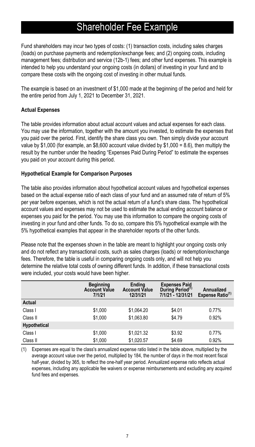### Shareholder Fee Example

<span id="page-8-0"></span>Fund shareholders may incur two types of costs: (1) transaction costs, including sales charges (loads) on purchase payments and redemption/exchange fees; and (2) ongoing costs, including management fees; distribution and service (12b-1) fees; and other fund expenses. This example is intended to help you understand your ongoing costs (in dollars) of investing in your fund and to compare these costs with the ongoing cost of investing in other mutual funds.

The example is based on an investment of \$1,000 made at the beginning of the period and held for the entire period from July 1, 2021 to December 31, 2021.

#### **Actual Expenses**

The table provides information about actual account values and actual expenses for each class. You may use the information, together with the amount you invested, to estimate the expenses that you paid over the period. First, identify the share class you own. Then simply divide your account value by \$1,000 (for example, an \$8,600 account value divided by \$1,000 = 8.6), then multiply the result by the number under the heading "Expenses Paid During Period" to estimate the expenses you paid on your account during this period.

#### **Hypothetical Example for Comparison Purposes**

The table also provides information about hypothetical account values and hypothetical expenses based on the actual expense ratio of each class of your fund and an assumed rate of return of 5% per year before expenses, which is not the actual return of a fund's share class. The hypothetical account values and expenses may not be used to estimate the actual ending account balance or expenses you paid for the period. You may use this information to compare the ongoing costs of investing in your fund and other funds. To do so, compare this 5% hypothetical example with the 5% hypothetical examples that appear in the shareholder reports of the other funds.

Please note that the expenses shown in the table are meant to highlight your ongoing costs only and do not reflect any transactional costs, such as sales charges (loads) or redemption/exchange fees. Therefore, the table is useful in comparing ongoing costs only, and will not help you determine the relative total costs of owning different funds. In addition, if these transactional costs were included, your costs would have been higher.

|              | <b>Beginning</b><br><b>Account Value</b><br>7/1/21 | Ending<br><b>Account Value</b><br>12/31/21 | <b>Expenses Paid</b><br>During Period <sup>(1)</sup><br>7/1/21 - 12/31/21 | Annualized<br>Expense Ratio <sup>(1)</sup> |
|--------------|----------------------------------------------------|--------------------------------------------|---------------------------------------------------------------------------|--------------------------------------------|
| Actual       |                                                    |                                            |                                                                           |                                            |
| Class I      | \$1,000                                            | \$1,064.20                                 | \$4.01                                                                    | 0.77%                                      |
| Class II     | \$1,000                                            | \$1,063.80                                 | \$4.79                                                                    | 0.92%                                      |
| Hypothetical |                                                    |                                            |                                                                           |                                            |
| Class I      | \$1,000                                            | \$1,021.32                                 | \$3.92                                                                    | 0.77%                                      |
| Class II     | \$1.000                                            | \$1.020.57                                 | \$4.69                                                                    | 0.92%                                      |

(1) Expenses are equal to the class's annualized expense ratio listed in the table above, multiplied by the average account value over the period, multiplied by 184, the number of days in the most recent fiscal half-year, divided by 365, to reflect the one-half year period. Annualized expense ratio reflects actual expenses, including any applicable fee waivers or expense reimbursements and excluding any acquired fund fees and expenses.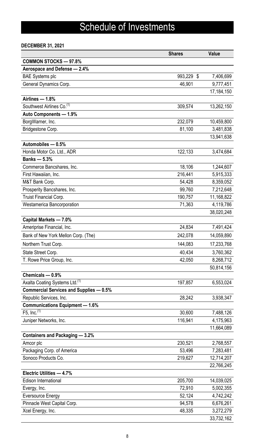# Schedule of Investments

#### <span id="page-9-0"></span>**DECEMBER 31, 2021**

|                                                | <b>Shares</b> | Value      |
|------------------------------------------------|---------------|------------|
| <b>COMMON STOCKS - 97.8%</b>                   |               |            |
| Aerospace and Defense - 2.4%                   |               |            |
| <b>BAE Systems plc</b>                         | 993,229 \$    | 7,406,699  |
| General Dynamics Corp.                         | 46,901        | 9,777,451  |
|                                                |               | 17,184,150 |
| Airlines - 1.8%                                |               |            |
| Southwest Airlines Co. <sup>(1)</sup>          | 309,574       | 13,262,150 |
| Auto Components - 1.9%                         |               |            |
| BorgWarner, Inc.                               | 232,079       | 10,459,800 |
| Bridgestone Corp.                              | 81,100        | 3,481,838  |
|                                                |               | 13,941,638 |
| Automobiles - 0.5%                             |               |            |
| Honda Motor Co. Ltd., ADR                      | 122,133       | 3,474,684  |
| Banks - 5.3%                                   |               |            |
| Commerce Bancshares, Inc.                      | 18,106        | 1,244,607  |
| First Hawaiian, Inc.                           | 216,441       | 5,915,333  |
| M&T Bank Corp.                                 | 54,428        | 8,359,052  |
| Prosperity Bancshares, Inc.                    | 99,760        | 7,212,648  |
| Truist Financial Corp.                         | 190,757       | 11,168,822 |
| Westamerica Bancorporation                     | 71,363        | 4,119,786  |
|                                                |               | 38,020,248 |
| Capital Markets - 7.0%                         |               |            |
| Ameriprise Financial, Inc.                     | 24,834        | 7,491,424  |
| Bank of New York Mellon Corp. (The)            | 242,078       | 14,059,890 |
| Northern Trust Corp.                           | 144,083       | 17,233,768 |
| State Street Corp.                             | 40,434        | 3,760,362  |
| T. Rowe Price Group, Inc.                      | 42,050        | 8,268,712  |
|                                                |               | 50,814,156 |
| Chemicals - 0.9%                               |               |            |
| Axalta Coating Systems Ltd. <sup>(1)</sup>     | 197,857       | 6,553,024  |
| <b>Commercial Services and Supplies - 0.5%</b> |               |            |
| Republic Services, Inc.                        | 28,242        | 3,938,347  |
| <b>Communications Equipment - 1.6%</b>         |               |            |
| F5, $Inc^{(1)}$                                | 30,600        | 7,488,126  |
| Juniper Networks, Inc.                         | 116,941       | 4,175,963  |
|                                                |               | 11,664,089 |
| <b>Containers and Packaging - 3.2%</b>         |               |            |
| Amcor plc                                      | 230,521       | 2,768,557  |
| Packaging Corp. of America                     | 53,496        | 7,283,481  |
| Sonoco Products Co.                            | 219,627       | 12,714,207 |
|                                                |               | 22,766,245 |
| Electric Utilities - 4.7%                      |               |            |
| Edison International                           | 205,700       | 14,039,025 |
| Evergy, Inc.                                   | 72,910        | 5,002,355  |
| <b>Eversource Energy</b>                       | 52,124        | 4,742,242  |
| Pinnacle West Capital Corp.                    | 94,578        | 6,676,261  |
| Xcel Energy, Inc.                              | 48,335        | 3,272,279  |
|                                                |               | 33,732,162 |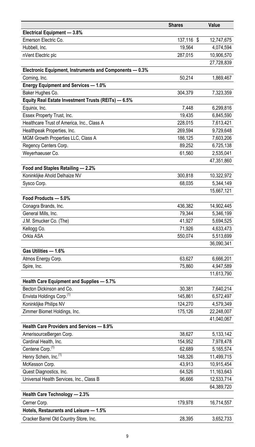|                                                         | <b>Shares</b> | Value      |
|---------------------------------------------------------|---------------|------------|
| Electrical Equipment - 3.8%                             |               |            |
| Emerson Electric Co.                                    | 137,116 \$    | 12,747,675 |
| Hubbell, Inc.                                           | 19,564        | 4,074,594  |
| nVent Electric plc                                      | 287,015       | 10,906,570 |
|                                                         |               | 27,728,839 |
| Electronic Equipment, Instruments and Components - 0.3% |               |            |
| Corning, Inc.                                           | 50,214        | 1,869,467  |
| <b>Energy Equipment and Services - 1.0%</b>             |               |            |
| Baker Hughes Co.                                        | 304,379       | 7,323,359  |
| Equity Real Estate Investment Trusts (REITs) - 6.5%     |               |            |
| Equinix, Inc.                                           | 7,448         | 6,299,816  |
| Essex Property Trust, Inc.                              | 19,435        | 6,845,590  |
| Healthcare Trust of America, Inc., Class A              | 228,015       | 7,613,421  |
| Healthpeak Properties, Inc.                             | 269,594       | 9,729,648  |
| MGM Growth Properties LLC, Class A                      | 186,125       | 7,603,206  |
| Regency Centers Corp.                                   | 89,252        | 6,725,138  |
| Weyerhaeuser Co.                                        | 61,560        | 2,535,041  |
|                                                         |               | 47,351,860 |
| Food and Staples Retailing - 2.2%                       |               |            |
| Koninklijke Ahold Delhaize NV                           | 300,818       | 10,322,972 |
| Sysco Corp.                                             | 68,035        | 5,344,149  |
|                                                         |               | 15,667,121 |
| Food Products - 5.0%                                    |               |            |
| Conagra Brands, Inc.                                    | 436,382       | 14,902,445 |
| General Mills, Inc.                                     | 79,344        | 5,346,199  |
| J.M. Smucker Co. (The)                                  | 41,927        | 5,694,525  |
| Kellogg Co.                                             | 71,926        | 4,633,473  |
| Orkla ASA                                               | 550,074       | 5,513,699  |
|                                                         |               | 36,090,341 |
| Gas Utilities - 1.6%                                    |               |            |
| Atmos Energy Corp.                                      | 63,627        | 6,666,201  |
| Spire, Inc.                                             | 75,860        | 4,947,589  |
|                                                         |               | 11,613,790 |
| Health Care Equipment and Supplies - 5.7%               |               |            |
| Becton Dickinson and Co.                                | 30,381        | 7,640,214  |
| Envista Holdings Corp. <sup>(1)</sup>                   | 145,861       | 6,572,497  |
| Koninklijke Philips NV                                  | 124,270       | 4,579,349  |
| Zimmer Biomet Holdings, Inc.                            | 175,126       | 22,248,007 |
|                                                         |               | 41,040,067 |
| Health Care Providers and Services - 8.9%               |               |            |
| AmerisourceBergen Corp.                                 | 38,627        | 5,133,142  |
| Cardinal Health, Inc.                                   | 154,952       | 7,978,478  |
| Centene Corp. <sup>(1)</sup>                            | 62,689        | 5,165,574  |
| Henry Schein, Inc. <sup>(1)</sup>                       | 148,326       | 11,499,715 |
| McKesson Corp.                                          | 43,913        | 10,915,454 |
| Quest Diagnostics, Inc.                                 | 64,526        | 11,163,643 |
| Universal Health Services, Inc., Class B                | 96,666        | 12,533,714 |
|                                                         |               | 64,389,720 |
| Health Care Technology - 2.3%                           |               |            |
| Cerner Corp.                                            | 179,978       | 16,714,557 |
| Hotels, Restaurants and Leisure - 1.5%                  |               |            |
| Cracker Barrel Old Country Store, Inc.                  | 28,395        | 3,652,733  |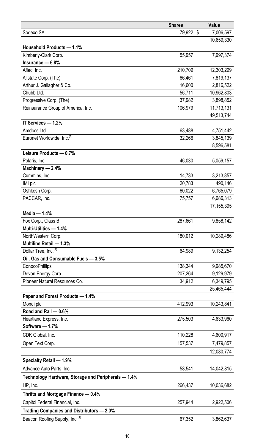|                                                     | <b>Shares</b> | Value        |
|-----------------------------------------------------|---------------|--------------|
| Sodexo SA                                           | 79,922 \$     | 7,006,597    |
|                                                     |               | 10,659,330   |
| Household Products - 1.1%                           |               |              |
| Kimberly-Clark Corp.                                | 55,957        | 7,997,374    |
| Insurance $-6.8%$                                   |               |              |
| Aflac, Inc.                                         | 210,709       | 12,303,299   |
| Allstate Corp. (The)                                | 66,461        | 7,819,137    |
| Arthur J. Gallagher & Co.                           | 16,600        | 2,816,522    |
| Chubb Ltd.                                          | 56,711        | 10,962,803   |
| Progressive Corp. (The)                             | 37,982        | 3,898,852    |
| Reinsurance Group of America, Inc.                  | 106,979       | 11,713,131   |
|                                                     |               | 49,513,744   |
| IT Services - 1.2%                                  |               |              |
| Amdocs Ltd.                                         | 63,488        | 4,751,442    |
| Euronet Worldwide, Inc. <sup>(1)</sup>              | 32,266        | 3,845,139    |
|                                                     |               | 8,596,581    |
| Leisure Products - 0.7%                             |               |              |
| Polaris, Inc.                                       | 46,030        | 5,059,157    |
| Machinery - 2.4%                                    |               |              |
| Cummins, Inc.                                       | 14,733        | 3,213,857    |
| IMI plc                                             | 20,783        | 490,146      |
| Oshkosh Corp.                                       | 60,022        | 6,765,079    |
| PACCAR, Inc.                                        | 75,757        | 6,686,313    |
|                                                     |               | 17, 155, 395 |
| Media - 1.4%                                        |               |              |
| Fox Corp., Class B                                  | 287,661       | 9,858,142    |
| Multi-Utilities - 1.4%                              |               |              |
| NorthWestern Corp.                                  | 180,012       | 10,289,486   |
| Multiline Retail - 1.3%                             |               |              |
| Dollar Tree, Inc. <sup>(1)</sup>                    | 64,989        | 9,132,254    |
| Oil, Gas and Consumable Fuels - 3.5%                |               |              |
| ConocoPhillips                                      | 138,344       | 9,985,670    |
| Devon Energy Corp.                                  | 207,264       | 9,129,979    |
| Pioneer Natural Resources Co.                       | 34,912        | 6,349,795    |
|                                                     |               | 25,465,444   |
| Paper and Forest Products - 1.4%                    |               |              |
| Mondi plc                                           | 412,993       | 10,243,841   |
| Road and Rail - 0.6%                                |               |              |
| Heartland Express, Inc.                             | 275,503       | 4,633,960    |
| Software - 1.7%                                     |               |              |
| CDK Global, Inc.                                    | 110,228       | 4,600,917    |
| Open Text Corp.                                     | 157,537       | 7,479,857    |
|                                                     |               | 12,080,774   |
|                                                     |               |              |
| Specialty Retail - 1.9%                             |               |              |
| Advance Auto Parts, Inc.                            | 58,541        | 14,042,815   |
| Technology Hardware, Storage and Peripherals - 1.4% |               |              |
| HP, Inc.                                            | 266,437       | 10,036,682   |
| Thrifts and Mortgage Finance - 0.4%                 |               |              |
| Capitol Federal Financial, Inc.                     | 257,944       | 2,922,506    |
| Trading Companies and Distributors - 2.0%           |               |              |
| Beacon Roofing Supply, Inc. <sup>(1)</sup>          | 67,352        | 3,862,637    |
|                                                     |               |              |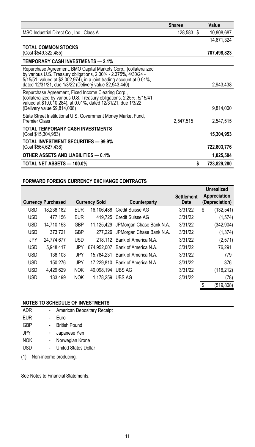|                                                                                                                                                                                                                                                                         | <b>Shares</b> | Value             |
|-------------------------------------------------------------------------------------------------------------------------------------------------------------------------------------------------------------------------------------------------------------------------|---------------|-------------------|
| MSC Industrial Direct Co., Inc., Class A                                                                                                                                                                                                                                | 128,583 \$    | 10,808,687        |
|                                                                                                                                                                                                                                                                         |               | 14,671,324        |
| <b>TOTAL COMMON STOCKS</b><br>(Cost \$549,322,485)                                                                                                                                                                                                                      |               | 707,498,823       |
| TEMPORARY CASH INVESTMENTS - 2.1%                                                                                                                                                                                                                                       |               |                   |
| Repurchase Agreement, BMO Capital Markets Corp., (collateralized<br>by various U.S. Treasury obligations, 2.00% - 2.375%, 4/30/24 -<br>5/15/51, valued at \$3,002,974), in a joint trading account at 0.01%,<br>dated 12/31/21, due 1/3/22 (Delivery value \$2,943,440) |               | 2,943,438         |
| Repurchase Agreement, Fixed Income Clearing Corp.,<br>(collateralized by various U.S. Treasury obligations, 2.25%, 5/15/41,<br>valued at \$10,010,284), at 0.01%, dated 12/31/21, due 1/3/22<br>(Delivery value \$9,814,008)                                            |               | 9,814,000         |
| State Street Institutional U.S. Government Money Market Fund,<br><b>Premier Class</b>                                                                                                                                                                                   | 2,547,515     | 2,547,515         |
| TOTAL TEMPORARY CASH INVESTMENTS<br>(Cost \$15,304,953)                                                                                                                                                                                                                 |               | 15,304,953        |
| <b>TOTAL INVESTMENT SECURITIES - 99.9%</b><br>(Cost \$564,627,438)                                                                                                                                                                                                      |               | 722,803,776       |
| OTHER ASSETS AND LIABILITIES - 0.1%                                                                                                                                                                                                                                     |               | 1.025.504         |
| TOTAL NET ASSETS - 100.0%                                                                                                                                                                                                                                               |               | \$<br>723,829,280 |

#### **FORWARD FOREIGN CURRENCY EXCHANGE CONTRACTS**

|            |                           |            |                      |                                 | <b>Settlement</b> | Unrealized<br>Appreciation |
|------------|---------------------------|------------|----------------------|---------------------------------|-------------------|----------------------------|
|            | <b>Currency Purchased</b> |            | <b>Currency Sold</b> | Counterparty                    | <b>Date</b>       | (Depreciation)             |
| <b>USD</b> | 18.238.182                | <b>EUR</b> |                      | 16,106,488 Credit Suisse AG     | 3/31/22           | \$<br>(132, 541)           |
| <b>USD</b> | 477.156                   | <b>EUR</b> |                      | 419.725 Credit Suisse AG        | 3/31/22           | (1,574)                    |
| <b>USD</b> | 14.710.153                | <b>GBP</b> | 11.125.429           | JPMorgan Chase Bank N.A.        | 3/31/22           | (342,904)                  |
| <b>USD</b> | 373.721                   | <b>GBP</b> | 277.226              | JPMorgan Chase Bank N.A.        | 3/31/22           | (1, 374)                   |
| JPY        | 24.774.677                | <b>USD</b> |                      | 218.112 Bank of America N.A.    | 3/31/22           | (2,571)                    |
| <b>USD</b> | 5.948.417                 | JPY        | 674.952.007          | Bank of America N.A.            | 3/31/22           | 76.291                     |
| <b>USD</b> | 138.103                   | <b>JPY</b> |                      | 15.784.231 Bank of America N.A. | 3/31/22           | 779                        |
| <b>USD</b> | 150.276                   | JPY        |                      | 17.229.810 Bank of America N.A. | 3/31/22           | 376                        |
| <b>USD</b> | 4.429.629                 | <b>NOK</b> | 40.098.194           | <b>UBS AG</b>                   | 3/31/22           | (116, 212)                 |
| <b>USD</b> | 133.499                   | <b>NOK</b> | 1.178.259            | <b>UBS AG</b>                   | 3/31/22           | (78)                       |
|            |                           |            |                      |                                 |                   | \$<br>(519, 808)           |

Receipt

#### **NOTES TO SCHEDULE OF INVESTMENTS**

| ADR        | American Depositary         |
|------------|-----------------------------|
| <b>EUR</b> | Euro                        |
| <b>GBP</b> | <b>British Pound</b>        |
| JPY        | Japanese Yen                |
| <b>NOK</b> | Norwegian Krone             |
| <b>USD</b> | <b>United States Dollar</b> |
|            |                             |

(1) Non-income producing.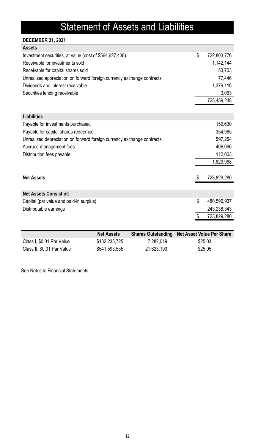## Statement of Assets and Liabilities

#### <span id="page-13-0"></span>**DECEMBER 31, 2021**

| <b>Assets</b>                                                          |                   |        |
|------------------------------------------------------------------------|-------------------|--------|
| Investment securities, at value (cost of \$564,627,438)                | \$<br>722,803,776 |        |
| Receivable for investments sold                                        | 1,142,144         |        |
| Receivable for capital shares sold                                     |                   | 53,703 |
| Unrealized appreciation on forward foreign currency exchange contracts |                   | 77,446 |
| Dividends and interest receivable                                      | 1,379,116         |        |
| Securities lending receivable                                          |                   | 3,063  |
|                                                                        | 725,459,248       |        |
|                                                                        |                   |        |
| <b>Liabilities</b>                                                     |                   |        |
| Payable for investments purchased                                      | 159,630           |        |
| Payable for capital shares redeemed                                    | 354,985           |        |
| Unrealized depreciation on forward foreign currency exchange contracts | 597,254           |        |
| Accrued management fees                                                | 406,096           |        |
| Distribution fees payable                                              | 112,003           |        |
|                                                                        | 1,629,968         |        |
|                                                                        |                   |        |
| <b>Net Assets</b>                                                      | 723,829,280       |        |
|                                                                        |                   |        |
| <b>Net Assets Consist of:</b>                                          |                   |        |
| Capital (par value and paid-in surplus)                                | \$<br>480,590,937 |        |
| Distributable earnings                                                 | 243,238,343       |        |
|                                                                        | 723,829,280<br>S  |        |
|                                                                        |                   |        |
| Shares Qutetanding Not Asset Value Per Share<br>Nat Accatc             |                   |        |

|                            | <b>Net Assets</b> |            | Shares Outstanding Net Asset Value Per Share |
|----------------------------|-------------------|------------|----------------------------------------------|
| Class I. \$0.01 Par Value  | \$182.235.725     | 7.282.019  | \$25.03                                      |
| Class II, \$0.01 Par Value | \$541.593.555     | 21.623.190 | \$25.05                                      |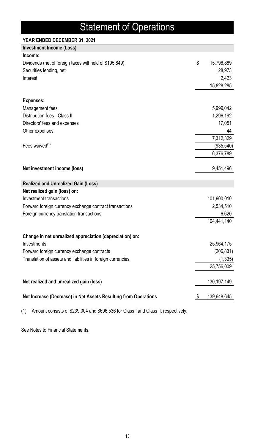# Statement of Operations

#### <span id="page-14-0"></span>**YEAR ENDED DECEMBER 31, 2021**

| <b>Investment Income (Loss)</b>                                 |                   |
|-----------------------------------------------------------------|-------------------|
| Income:                                                         |                   |
| Dividends (net of foreign taxes withheld of \$195,849)          | \$<br>15,796,889  |
| Securities lending, net                                         | 28,973            |
| Interest                                                        | 2,423             |
|                                                                 | 15,828,285        |
|                                                                 |                   |
| <b>Expenses:</b>                                                |                   |
| Management fees                                                 | 5,999,042         |
| Distribution fees - Class II                                    | 1,296,192         |
| Directors' fees and expenses                                    | 17,051            |
| Other expenses                                                  | 44                |
|                                                                 | 7,312,329         |
| Fees waived <sup>(1)</sup>                                      | (935, 540)        |
|                                                                 | 6,376,789         |
| Net investment income (loss)                                    | 9,451,496         |
|                                                                 |                   |
| <b>Realized and Unrealized Gain (Loss)</b>                      |                   |
| Net realized gain (loss) on:                                    |                   |
| Investment transactions                                         | 101,900,010       |
| Forward foreign currency exchange contract transactions         | 2,534,510         |
| Foreign currency translation transactions                       | 6,620             |
|                                                                 | 104,441,140       |
| Change in net unrealized appreciation (depreciation) on:        |                   |
| Investments                                                     | 25,964,175        |
| Forward foreign currency exchange contracts                     | (206, 831)        |
| Translation of assets and liabilities in foreign currencies     | (1, 335)          |
|                                                                 | 25,756,009        |
| Net realized and unrealized gain (loss)                         | 130, 197, 149     |
| Net Increase (Decrease) in Net Assets Resulting from Operations | 139,648,645<br>\$ |

(1) Amount consists of \$239,004 and \$696,536 for Class I and Class II, respectively.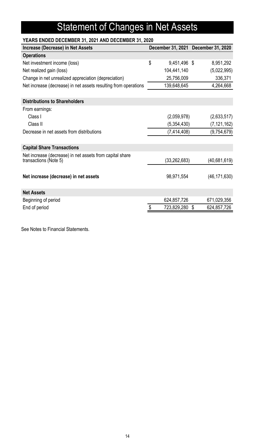# Statement of Changes in Net Assets

<span id="page-15-0"></span>

| YEARS ENDED DECEMBER 31, 2021 AND DECEMBER 31, 2020                               |    |                |                                     |  |  |  |  |  |
|-----------------------------------------------------------------------------------|----|----------------|-------------------------------------|--|--|--|--|--|
| Increase (Decrease) in Net Assets                                                 |    |                | December 31, 2021 December 31, 2020 |  |  |  |  |  |
| <b>Operations</b>                                                                 |    |                |                                     |  |  |  |  |  |
| Net investment income (loss)                                                      | \$ | 9.451.496 \$   | 8.951.292                           |  |  |  |  |  |
| Net realized gain (loss)                                                          |    | 104,441,140    | (5,022,995)                         |  |  |  |  |  |
| Change in net unrealized appreciation (depreciation)                              |    | 25,756,009     | 336,371                             |  |  |  |  |  |
| Net increase (decrease) in net assets resulting from operations                   |    | 139,648,645    | 4,264,668                           |  |  |  |  |  |
|                                                                                   |    |                |                                     |  |  |  |  |  |
| <b>Distributions to Shareholders</b>                                              |    |                |                                     |  |  |  |  |  |
| From earnings:                                                                    |    |                |                                     |  |  |  |  |  |
| Class I                                                                           |    | (2,059,978)    | (2,633,517)                         |  |  |  |  |  |
| Class II                                                                          |    | (5,354,430)    | (7, 121, 162)                       |  |  |  |  |  |
| Decrease in net assets from distributions                                         |    | (7, 414, 408)  | (9,754,679)                         |  |  |  |  |  |
|                                                                                   |    |                |                                     |  |  |  |  |  |
| <b>Capital Share Transactions</b>                                                 |    |                |                                     |  |  |  |  |  |
| Net increase (decrease) in net assets from capital share<br>transactions (Note 5) |    | (33, 262, 683) | (40,681,619)                        |  |  |  |  |  |
|                                                                                   |    |                |                                     |  |  |  |  |  |
| Net increase (decrease) in net assets                                             |    | 98,971,554     | (46, 171, 630)                      |  |  |  |  |  |
|                                                                                   |    |                |                                     |  |  |  |  |  |
| <b>Net Assets</b>                                                                 |    |                |                                     |  |  |  |  |  |
| Beginning of period                                                               |    | 624,857,726    | 671,029,356                         |  |  |  |  |  |
| End of period                                                                     |    | 723,829,280    | 624,857,726<br>S                    |  |  |  |  |  |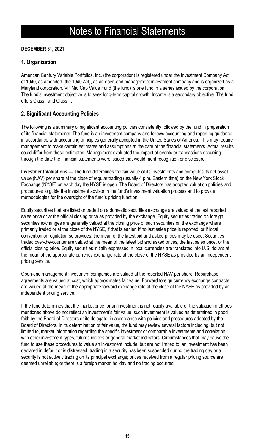#### <span id="page-16-0"></span>**DECEMBER 31, 2021**

#### **1. Organization**

American Century Variable Portfolios, Inc. (the corporation) is registered under the Investment Company Act of 1940, as amended (the 1940 Act), as an open-end management investment company and is organized as a Maryland corporation. VP Mid Cap Value Fund (the fund) is one fund in a series issued by the corporation. The fund's investment objective is to seek long-term capital growth. Income is a secondary objective. The fund offers Class I and Class II.

#### **2. Significant Accounting Policies**

The following is a summary of significant accounting policies consistently followed by the fund in preparation of its financial statements. The fund is an investment company and follows accounting and reporting guidance in accordance with accounting principles generally accepted in the United States of America. This may require management to make certain estimates and assumptions at the date of the financial statements. Actual results could differ from these estimates. Management evaluated the impact of events or transactions occurring through the date the financial statements were issued that would merit recognition or disclosure.

**Investment Valuations —** The fund determines the fair value of its investments and computes its net asset value (NAV) per share at the close of regular trading (usually 4 p.m. Eastern time) on the New York Stock Exchange (NYSE) on each day the NYSE is open. The Board of Directors has adopted valuation policies and procedures to guide the investment advisor in the fund's investment valuation process and to provide methodologies for the oversight of the fund's pricing function.

Equity securities that are listed or traded on a domestic securities exchange are valued at the last reported sales price or at the official closing price as provided by the exchange. Equity securities traded on foreign securities exchanges are generally valued at the closing price of such securities on the exchange where primarily traded or at the close of the NYSE, if that is earlier. If no last sales price is reported, or if local convention or regulation so provides, the mean of the latest bid and asked prices may be used. Securities traded over-the-counter are valued at the mean of the latest bid and asked prices, the last sales price, or the official closing price. Equity securities initially expressed in local currencies are translated into U.S. dollars at the mean of the appropriate currency exchange rate at the close of the NYSE as provided by an independent pricing service.

Open-end management investment companies are valued at the reported NAV per share. Repurchase agreements are valued at cost, which approximates fair value. Forward foreign currency exchange contracts are valued at the mean of the appropriate forward exchange rate at the close of the NYSE as provided by an independent pricing service.

If the fund determines that the market price for an investment is not readily available or the valuation methods mentioned above do not reflect an investment's fair value, such investment is valued as determined in good faith by the Board of Directors or its delegate, in accordance with policies and procedures adopted by the Board of Directors. In its determination of fair value, the fund may review several factors including, but not limited to, market information regarding the specific investment or comparable investments and correlation with other investment types, futures indices or general market indicators. Circumstances that may cause the fund to use these procedures to value an investment include, but are not limited to: an investment has been declared in default or is distressed; trading in a security has been suspended during the trading day or a security is not actively trading on its principal exchange; prices received from a regular pricing source are deemed unreliable; or there is a foreign market holiday and no trading occurred.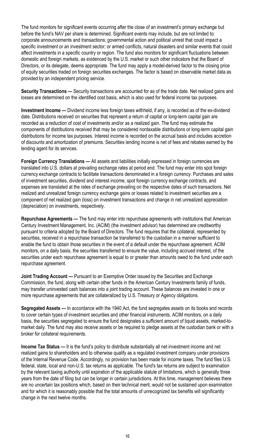The fund monitors for significant events occurring after the close of an investment's primary exchange but before the fund's NAV per share is determined. Significant events may include, but are not limited to: corporate announcements and transactions; governmental action and political unrest that could impact a specific investment or an investment sector; or armed conflicts, natural disasters and similar events that could affect investments in a specific country or region. The fund also monitors for significant fluctuations between domestic and foreign markets, as evidenced by the U.S. market or such other indicators that the Board of Directors, or its delegate, deems appropriate. The fund may apply a model-derived factor to the closing price of equity securities traded on foreign securities exchanges. The factor is based on observable market data as provided by an independent pricing service.

**Security Transactions —** Security transactions are accounted for as of the trade date. Net realized gains and losses are determined on the identified cost basis, which is also used for federal income tax purposes.

**Investment Income —** Dividend income less foreign taxes withheld, if any, is recorded as of the ex-dividend date. Distributions received on securities that represent a return of capital or long-term capital gain are recorded as a reduction of cost of investments and/or as a realized gain. The fund may estimate the components of distributions received that may be considered nontaxable distributions or long-term capital gain distributions for income tax purposes. Interest income is recorded on the accrual basis and includes accretion of discounts and amortization of premiums. Securities lending income is net of fees and rebates earned by the lending agent for its services.

**Foreign Currency Translations —** All assets and liabilities initially expressed in foreign currencies are translated into U.S. dollars at prevailing exchange rates at period end. The fund may enter into spot foreign currency exchange contracts to facilitate transactions denominated in a foreign currency. Purchases and sales of investment securities, dividend and interest income, spot foreign currency exchange contracts, and expenses are translated at the rates of exchange prevailing on the respective dates of such transactions. Net realized and unrealized foreign currency exchange gains or losses related to investment securities are a component of net realized gain (loss) on investment transactions and change in net unrealized appreciation (depreciation) on investments, respectively.

**Repurchase Agreements —** The fund may enter into repurchase agreements with institutions that American Century Investment Management, Inc. (ACIM) (the investment advisor) has determined are creditworthy pursuant to criteria adopted by the Board of Directors. The fund requires that the collateral, represented by securities, received in a repurchase transaction be transferred to the custodian in a manner sufficient to enable the fund to obtain those securities in the event of a default under the repurchase agreement. ACIM monitors, on a daily basis, the securities transferred to ensure the value, including accrued interest, of the securities under each repurchase agreement is equal to or greater than amounts owed to the fund under each repurchase agreement.

**Joint Trading Account —** Pursuant to an Exemptive Order issued by the Securities and Exchange Commission, the fund, along with certain other funds in the American Century Investments family of funds, may transfer uninvested cash balances into a joint trading account. These balances are invested in one or more repurchase agreements that are collateralized by U.S. Treasury or Agency obligations.

**Segregated Assets —** In accordance with the 1940 Act, the fund segregates assets on its books and records to cover certain types of investment securities and other financial instruments. ACIM monitors, on a daily basis, the securities segregated to ensure the fund designates a sufficient amount of liquid assets, marked-tomarket daily. The fund may also receive assets or be required to pledge assets at the custodian bank or with a broker for collateral requirements.

**Income Tax Status —** It is the fund's policy to distribute substantially all net investment income and net realized gains to shareholders and to otherwise qualify as a regulated investment company under provisions of the Internal Revenue Code. Accordingly, no provision has been made for income taxes. The fund files U.S. federal, state, local and non-U.S. tax returns as applicable. The fund's tax returns are subject to examination by the relevant taxing authority until expiration of the applicable statute of limitations, which is generally three years from the date of filing but can be longer in certain jurisdictions. At this time, management believes there are no uncertain tax positions which, based on their technical merit, would not be sustained upon examination and for which it is reasonably possible that the total amounts of unrecognized tax benefits will significantly change in the next twelve months.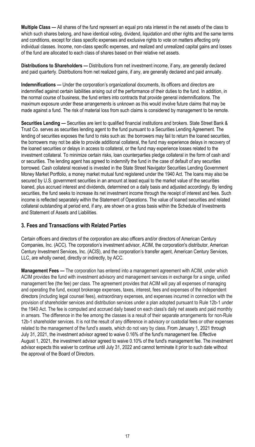**Multiple Class —** All shares of the fund represent an equal pro rata interest in the net assets of the class to which such shares belong, and have identical voting, dividend, liquidation and other rights and the same terms and conditions, except for class specific expenses and exclusive rights to vote on matters affecting only individual classes. Income, non-class specific expenses, and realized and unrealized capital gains and losses of the fund are allocated to each class of shares based on their relative net assets.

**Distributions to Shareholders —** Distributions from net investment income, if any, are generally declared and paid quarterly. Distributions from net realized gains, if any, are generally declared and paid annually.

**Indemnifications —** Under the corporation's organizational documents, its officers and directors are indemnified against certain liabilities arising out of the performance of their duties to the fund. In addition, in the normal course of business, the fund enters into contracts that provide general indemnifications. The maximum exposure under these arrangements is unknown as this would involve future claims that may be made against a fund. The risk of material loss from such claims is considered by management to be remote.

**Securities Lending —** Securities are lent to qualified financial institutions and brokers. State Street Bank & Trust Co. serves as securities lending agent to the fund pursuant to a Securities Lending Agreement. The lending of securities exposes the fund to risks such as: the borrowers may fail to return the loaned securities, the borrowers may not be able to provide additional collateral, the fund may experience delays in recovery of the loaned securities or delays in access to collateral, or the fund may experience losses related to the investment collateral. To minimize certain risks, loan counterparties pledge collateral in the form of cash and/ or securities. The lending agent has agreed to indemnify the fund in the case of default of any securities borrowed. Cash collateral received is invested in the State Street Navigator Securities Lending Government Money Market Portfolio, a money market mutual fund registered under the 1940 Act. The loans may also be secured by U.S. government securities in an amount at least equal to the market value of the securities loaned, plus accrued interest and dividends, determined on a daily basis and adjusted accordingly. By lending securities, the fund seeks to increase its net investment income through the receipt of interest and fees. Such income is reflected separately within the Statement of Operations. The value of loaned securities and related collateral outstanding at period end, if any, are shown on a gross basis within the Schedule of Investments and Statement of Assets and Liabilities.

#### **3. Fees and Transactions with Related Parties**

Certain officers and directors of the corporation are also officers and/or directors of American Century Companies, Inc. (ACC). The corporation's investment advisor, ACIM, the corporation's distributor, American Century Investment Services, Inc. (ACIS), and the corporation's transfer agent, American Century Services, LLC, are wholly owned, directly or indirectly, by ACC.

**Management Fees —** The corporation has entered into a management agreement with ACIM, under which ACIM provides the fund with investment advisory and management services in exchange for a single, unified management fee (the fee) per class. The agreement provides that ACIM will pay all expenses of managing and operating the fund, except brokerage expenses, taxes, interest, fees and expenses of the independent directors (including legal counsel fees), extraordinary expenses, and expenses incurred in connection with the provision of shareholder services and distribution services under a plan adopted pursuant to Rule 12b-1 under the 1940 Act. The fee is computed and accrued daily based on each class's daily net assets and paid monthly in arrears. The difference in the fee among the classes is a result of their separate arrangements for non-Rule 12b-1 shareholder services. It is not the result of any difference in advisory or custodial fees or other expenses related to the management of the fund's assets, which do not vary by class. From January 1, 2021 through July 31, 2021, the investment advisor agreed to waive 0.16% of the fund's management fee. Effective August 1, 2021, the investment advisor agreed to waive 0.10% of the fund's management fee. The investment advisor expects this waiver to continue until July 31, 2022 and cannot terminate it prior to such date without the approval of the Board of Directors.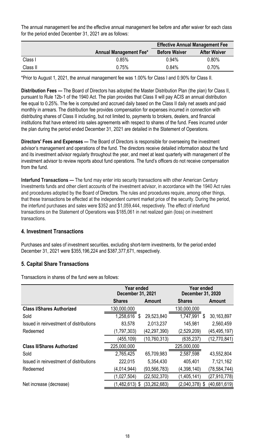The annual management fee and the effective annual management fee before and after waiver for each class for the period ended December 31, 2021 are as follows:

|          |                               | <b>Effective Annual Management Fee</b> |                     |
|----------|-------------------------------|----------------------------------------|---------------------|
|          | <b>Annual Management Fee*</b> | <b>Before Waiver</b>                   | <b>After Waiver</b> |
| Class I  | 0.85%                         | $0.94\%$                               | 0.80%               |
| Class II | 0.75%                         | 0.84%                                  | 0.70%               |

\*Prior to August 1, 2021, the annual management fee was 1.00% for Class I and 0.90% for Class II.

**Distribution Fees —** The Board of Directors has adopted the Master Distribution Plan (the plan) for Class II, pursuant to Rule 12b-1 of the 1940 Act. The plan provides that Class II will pay ACIS an annual distribution fee equal to 0.25%. The fee is computed and accrued daily based on the Class II daily net assets and paid monthly in arrears. The distribution fee provides compensation for expenses incurred in connection with distributing shares of Class II including, but not limited to, payments to brokers, dealers, and financial institutions that have entered into sales agreements with respect to shares of the fund. Fees incurred under the plan during the period ended December 31, 2021 are detailed in the Statement of Operations.

**Directors' Fees and Expenses —** The Board of Directors is responsible for overseeing the investment advisor's management and operations of the fund. The directors receive detailed information about the fund and its investment advisor regularly throughout the year, and meet at least quarterly with management of the investment advisor to review reports about fund operations. The fund's officers do not receive compensation from the fund.

**Interfund Transactions —** The fund may enter into security transactions with other American Century Investments funds and other client accounts of the investment advisor, in accordance with the 1940 Act rules and procedures adopted by the Board of Directors. The rules and procedures require, among other things, that these transactions be effected at the independent current market price of the security. During the period, the interfund purchases and sales were \$352 and \$1,059,444, respectively. The effect of interfund transactions on the Statement of Operations was \$185,061 in net realized gain (loss) on investment transactions.

#### **4. Investment Transactions**

Purchases and sales of investment securities, excluding short-term investments, for the period ended December 31, 2021 were \$355,196,224 and \$387,377,671, respectively.

#### **5. Capital Share Transactions**

Transactions in shares of the fund were as follows:

|                                         | Year ended<br>December 31, 2021 |                | Year ended<br>December 31, 2020 |                |
|-----------------------------------------|---------------------------------|----------------|---------------------------------|----------------|
|                                         | <b>Shares</b>                   | Amount         | <b>Shares</b>                   | Amount         |
| <b>Class I/Shares Authorized</b>        | 130,000,000                     |                | 130,000,000                     |                |
| Sold                                    | 1,258,616<br>S                  | 29,523,840     | 1,747,991<br>S                  | 30.163.897     |
| Issued in reinvestment of distributions | 83.578                          | 2,013,237      | 145,981                         | 2,560,459      |
| Redeemed                                | (1,797,303)                     | (42,297,390)   | (2,529,209)                     | (45, 495, 197) |
|                                         | (455, 109)                      | (10, 760, 313) | (635, 237)                      | (12, 770, 841) |
| <b>Class II/Shares Authorized</b>       | 225,000,000                     |                | 225,000,000                     |                |
| Sold                                    | 2.765.425                       | 65.709.983     | 2.587.598                       | 43.552.804     |
| Issued in reinvestment of distributions | 222,015                         | 5,354,430      | 405,401                         | 7,121,162      |
| Redeemed                                | (4,014,944)                     | (93, 566, 783) | (4,398,140)                     | (78, 584, 744) |
|                                         | (1,027,504)                     | (22, 502, 370) | (1,405,141)                     | (27.910.778)   |
| Net increase (decrease)                 | (1,482,613)<br>S                | (33, 262, 683) | (2,040,378)<br>S                | (40, 681, 619) |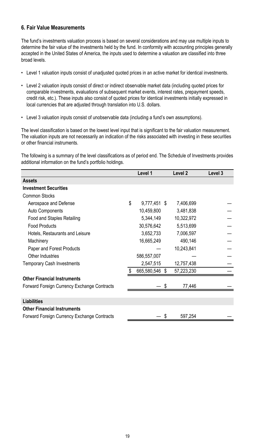#### **6. Fair Value Measurements**

The fund's investments valuation process is based on several considerations and may use multiple inputs to determine the fair value of the investments held by the fund. In conformity with accounting principles generally accepted in the United States of America, the inputs used to determine a valuation are classified into three broad levels.

- Level 1 valuation inputs consist of unadjusted quoted prices in an active market for identical investments.
- Level 2 valuation inputs consist of direct or indirect observable market data (including quoted prices for comparable investments, evaluations of subsequent market events, interest rates, prepayment speeds, credit risk, etc.). These inputs also consist of quoted prices for identical investments initially expressed in local currencies that are adjusted through translation into U.S. dollars.
- Level 3 valuation inputs consist of unobservable data (including a fund's own assumptions).

The level classification is based on the lowest level input that is significant to the fair valuation measurement. The valuation inputs are not necessarily an indication of the risks associated with investing in these securities or other financial instruments.

The following is a summary of the level classifications as of period end. The Schedule of Investments provides additional information on the fund's portfolio holdings.

|                                             |     | Level 1        | Level 2    | Level 3 |
|---------------------------------------------|-----|----------------|------------|---------|
| <b>Assets</b>                               |     |                |            |         |
| <b>Investment Securities</b>                |     |                |            |         |
| Common Stocks                               |     |                |            |         |
| Aerospace and Defense                       | \$  | $9,777,451$ \$ | 7,406,699  |         |
| Auto Components                             |     | 10,459,800     | 3,481,838  |         |
| Food and Staples Retailing                  |     | 5,344,149      | 10,322,972 |         |
| <b>Food Products</b>                        |     | 30,576,642     | 5,513,699  |         |
| Hotels, Restaurants and Leisure             |     | 3,652,733      | 7,006,597  |         |
| Machinery                                   |     | 16,665,249     | 490,146    |         |
| Paper and Forest Products                   |     |                | 10,243,841 |         |
| Other Industries                            |     | 586,557,007    |            |         |
| <b>Temporary Cash Investments</b>           |     | 2,547,515      | 12,757,438 |         |
|                                             | \$. | 665,580,546 \$ | 57,223,230 |         |
| <b>Other Financial Instruments</b>          |     |                |            |         |
| Forward Foreign Currency Exchange Contracts |     |                | 77,446     |         |
|                                             |     |                |            |         |
| <b>Liabilities</b>                          |     |                |            |         |
| <b>Other Financial Instruments</b>          |     |                |            |         |
| Forward Foreign Currency Exchange Contracts |     |                | 597,254    |         |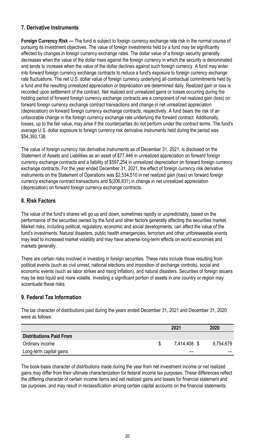#### **7. Derivative Instruments**

**Foreign Currency Risk —** The fund is subject to foreign currency exchange rate risk in the normal course of pursuing its investment objectives. The value of foreign investments held by a fund may be significantly affected by changes in foreign currency exchange rates. The dollar value of a foreign security generally decreases when the value of the dollar rises against the foreign currency in which the security is denominated and tends to increase when the value of the dollar declines against such foreign currency. A fund may enter into forward foreign currency exchange contracts to reduce a fund's exposure to foreign currency exchange rate fluctuations. The net U.S. dollar value of foreign currency underlying all contractual commitments held by a fund and the resulting unrealized appreciation or depreciation are determined daily. Realized gain or loss is recorded upon settlement of the contract. Net realized and unrealized gains or losses occurring during the holding period of forward foreign currency exchange contracts are a component of net realized gain (loss) on forward foreign currency exchange contract transactions and change in net unrealized appreciation (depreciation) on forward foreign currency exchange contracts, respectively. A fund bears the risk of an unfavorable change in the foreign currency exchange rate underlying the forward contract. Additionally, losses, up to the fair value, may arise if the counterparties do not perform under the contract terms. The fund's average U.S. dollar exposure to foreign currency risk derivative instruments held during the period was \$54,393,138.

The value of foreign currency risk derivative instruments as of December 31, 2021, is disclosed on the Statement of Assets and Liabilities as an asset of \$77,446 in unrealized appreciation on forward foreign currency exchange contracts and a liability of \$597,254 in unrealized depreciation on forward foreign currency exchange contracts. For the year ended December 31, 2021, the effect of foreign currency risk derivative instruments on the Statement of Operations was \$2,534,510 in net realized gain (loss) on forward foreign currency exchange contract transactions and \$(206,831) in change in net unrealized appreciation (depreciation) on forward foreign currency exchange contracts.

#### **8. Risk Factors**

The value of the fund's shares will go up and down, sometimes rapidly or unpredictably, based on the performance of the securities owned by the fund and other factors generally affecting the securities market. Market risks, including political, regulatory, economic and social developments, can affect the value of the fund's investments. Natural disasters, public health emergencies, terrorism and other unforeseeable events may lead to increased market volatility and may have adverse long-term effects on world economies and markets generally.

There are certain risks involved in investing in foreign securities. These risks include those resulting from political events (such as civil unrest, national elections and imposition of exchange controls), social and economic events (such as labor strikes and rising inflation), and natural disasters. Securities of foreign issuers may be less liquid and more volatile. Investing a significant portion of assets in one country or region may accentuate these risks.

#### **9. Federal Tax Information**

The tax character of distributions paid during the years ended December 31, 2021 and December 31, 2020 were as follows:

|                                | 2021         | 2020      |
|--------------------------------|--------------|-----------|
| <b>Distributions Paid From</b> |              |           |
| Ordinary income                | 7.414.408 \$ | 9.754.679 |
| Long-term capital gains        |              |           |

The book-basis character of distributions made during the year from net investment income or net realized gains may differ from their ultimate characterization for federal income tax purposes. These differences reflect the differing character of certain income items and net realized gains and losses for financial statement and tax purposes, and may result in reclassification among certain capital accounts on the financial statements.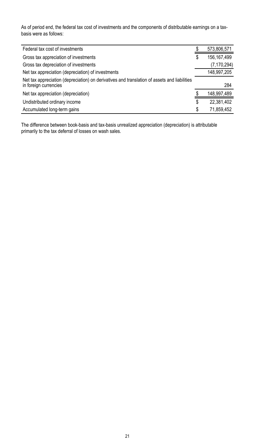As of period end, the federal tax cost of investments and the components of distributable earnings on a taxbasis were as follows:

| Federal tax cost of investments                                                                                       |    | 573,806,571   |
|-----------------------------------------------------------------------------------------------------------------------|----|---------------|
| Gross tax appreciation of investments                                                                                 | S  | 156, 167, 499 |
| Gross tax depreciation of investments                                                                                 |    | (7, 170, 294) |
| Net tax appreciation (depreciation) of investments                                                                    |    | 148,997,205   |
| Net tax appreciation (depreciation) on derivatives and translation of assets and liabilities<br>in foreign currencies |    | 284           |
| Net tax appreciation (depreciation)                                                                                   |    | 148,997,489   |
| Undistributed ordinary income                                                                                         | \$ | 22.381.402    |
| Accumulated long-term gains                                                                                           | \$ | 71,859,452    |

The difference between book-basis and tax-basis unrealized appreciation (depreciation) is attributable primarily to the tax deferral of losses on wash sales.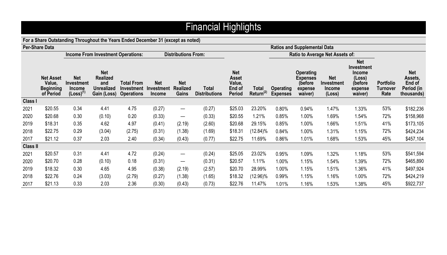# Financial Highlights

<span id="page-23-0"></span>

|          |                                                             |                                                             | For a Share Outstanding Throughout the Years Ended December 31 (except as noted) |                                                      |                                    |                                        |                                                                                           |                                     |                                     |                                                               |                                              |                                                                                             |                                      |                                                             |           |
|----------|-------------------------------------------------------------|-------------------------------------------------------------|----------------------------------------------------------------------------------|------------------------------------------------------|------------------------------------|----------------------------------------|-------------------------------------------------------------------------------------------|-------------------------------------|-------------------------------------|---------------------------------------------------------------|----------------------------------------------|---------------------------------------------------------------------------------------------|--------------------------------------|-------------------------------------------------------------|-----------|
|          | Per-Share Data                                              |                                                             |                                                                                  |                                                      |                                    |                                        |                                                                                           | <b>Ratios and Supplemental Data</b> |                                     |                                                               |                                              |                                                                                             |                                      |                                                             |           |
|          |                                                             |                                                             | <b>Income From Investment Operations:</b>                                        |                                                      |                                    | <b>Distributions From:</b>             |                                                                                           |                                     |                                     |                                                               |                                              | <b>Ratio to Average Net Assets of:</b>                                                      |                                      |                                                             |           |
|          | <b>Net Asset</b><br>Value,<br><b>Beginning</b><br>of Period | <b>Net</b><br>Investment<br><b>Income</b><br>$(Loss)^{(1)}$ | <b>Net</b><br><b>Realized</b><br>and<br><b>Unrealized</b><br>Gain (Loss)         | <b>Total From</b><br>Investment<br><b>Operations</b> | <b>Net</b><br>Investment<br>Income | <b>Net</b><br><b>Realized</b><br>Gains | <b>Net</b><br>Asset<br>Value,<br>Total<br>End of<br><b>Distributions</b><br><b>Period</b> | Total<br>Return <sup>(2)</sup>      | <b>Operating</b><br><b>Expenses</b> | Operating<br><b>Expenses</b><br>(before<br>expense<br>waiver) | <b>Net</b><br>Investment<br>Income<br>(Loss) | <b>Net</b><br><b>Investment</b><br><b>Income</b><br>(Loss)<br>(before<br>expense<br>waiver) | <b>Portfolio</b><br>Turnover<br>Rate | <b>Net</b><br>Assets.<br>End of<br>Period (in<br>thousands) |           |
| Class I  |                                                             |                                                             |                                                                                  |                                                      |                                    |                                        |                                                                                           |                                     |                                     |                                                               |                                              |                                                                                             |                                      |                                                             |           |
| 2021     | \$20.55                                                     | 0.34                                                        | 4.41                                                                             | 4.75                                                 | (0.27)                             | $\hspace{0.05cm}$                      | (0.27)                                                                                    | \$25.03                             | 23.20%                              | 0.80%                                                         | 0.94%                                        | 1.47%                                                                                       | 1.33%                                | 53%                                                         | \$182,236 |
| 2020     | \$20.68                                                     | 0.30                                                        | (0.10)                                                                           | 0.20                                                 | (0.33)                             | $\hspace{0.05cm}$                      | (0.33)                                                                                    | \$20.55                             | 1.21%                               | 0.85%                                                         | 1.00%                                        | 1.69%                                                                                       | 1.54%                                | 72%                                                         | \$158,968 |
| 2019     | \$18.31                                                     | 0.35                                                        | 4.62                                                                             | 4.97                                                 | (0.41)                             | (2.19)                                 | (2.60)                                                                                    | \$20.68                             | 29.15%                              | 0.85%                                                         | 1.00%                                        | 1.66%                                                                                       | 1.51%                                | 41%                                                         | \$173,105 |
| 2018     | \$22.75                                                     | 0.29                                                        | (3.04)                                                                           | (2.75)                                               | (0.31)                             | (1.38)                                 | (1.69)                                                                                    | \$18.31                             | $(12.84)\%$                         | 0.84%                                                         | 1.00%                                        | 1.31%                                                                                       | 1.15%                                | 72%                                                         | \$424,234 |
| 2017     | \$21.12                                                     | 0.37                                                        | 2.03                                                                             | 2.40                                                 | (0.34)                             | (0.43)                                 | (0.77)                                                                                    | \$22.75                             | 11.69%                              | 0.86%                                                         | 1.01%                                        | 1.68%                                                                                       | 1.53%                                | 45%                                                         | \$457,104 |
| Class II |                                                             |                                                             |                                                                                  |                                                      |                                    |                                        |                                                                                           |                                     |                                     |                                                               |                                              |                                                                                             |                                      |                                                             |           |
| 2021     | \$20.57                                                     | 0.31                                                        | 4.41                                                                             | 4.72                                                 | (0.24)                             | $\overline{\phantom{m}}$               | (0.24)                                                                                    | \$25.05                             | 23.02%                              | 0.95%                                                         | 1.09%                                        | 1.32%                                                                                       | 1.18%                                | 53%                                                         | \$541,594 |
| 2020     | \$20.70                                                     | 0.28                                                        | (0.10)                                                                           | 0.18                                                 | (0.31)                             | —                                      | (0.31)                                                                                    | \$20.57                             | 1.11%                               | 1.00%                                                         | 1.15%                                        | 1.54%                                                                                       | 1.39%                                | 72%                                                         | \$465,890 |
| 2019     | \$18.32                                                     | 0.30                                                        | 4.65                                                                             | 4.95                                                 | (0.38)                             | (2.19)                                 | (2.57)                                                                                    | \$20.70                             | 28.99%                              | 1.00%                                                         | 1.15%                                        | 1.51%                                                                                       | 1.36%                                | 41%                                                         | \$497,924 |
| 2018     | \$22.76                                                     | 0.24                                                        | (3.03)                                                                           | (2.79)                                               | (0.27)                             | (1.38)                                 | (1.65)                                                                                    | \$18.32                             | $(12.96)\%$                         | 0.99%                                                         | 1.15%                                        | 1.16%                                                                                       | 1.00%                                | 72%                                                         | \$424,219 |
| 2017     | \$21.13                                                     | 0.33                                                        | 2.03                                                                             | 2.36                                                 | (0.30)                             | (0.43)                                 | (0.73)                                                                                    | \$22.76                             | 11.47%                              | 1.01%                                                         | 1.16%                                        | 1.53%                                                                                       | 1.38%                                | 45%                                                         | \$922,737 |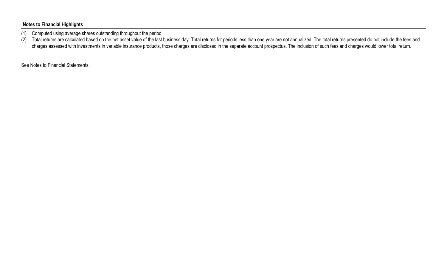#### **Notes to Financial Highlights**

(1) Computed using average shares outstanding throughout the period.

(2) Total returns are calculated based on the net asset value of the last business day. Total returns for periods less than one year are not annualized. The total returns presented do not include the fees and charges assessed with investments in variable insurance products, those charges are disclosed in the separate account prospectus. The inclusion of such fees and charges would lower total return.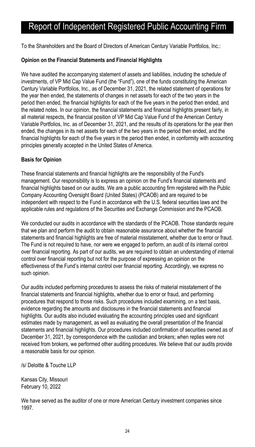### <span id="page-25-0"></span>Report of Independent Registered Public Accounting Firm

To the Shareholders and the Board of Directors of American Century Variable Portfolios, Inc.:

#### **Opinion on the Financial Statements and Financial Highlights**

We have audited the accompanying statement of assets and liabilities, including the schedule of investments, of VP Mid Cap Value Fund (the "Fund"), one of the funds constituting the American Century Variable Portfolios, Inc., as of December 31, 2021, the related statement of operations for the year then ended, the statements of changes in net assets for each of the two years in the period then ended, the financial highlights for each of the five years in the period then ended, and the related notes. In our opinion, the financial statements and financial highlights present fairly, in all material respects, the financial position of VP Mid Cap Value Fund of the American Century Variable Portfolios, Inc. as of December 31, 2021, and the results of its operations for the year then ended, the changes in its net assets for each of the two years in the period then ended, and the financial highlights for each of the five years in the period then ended, in conformity with accounting principles generally accepted in the United States of America.

#### **Basis for Opinion**

These financial statements and financial highlights are the responsibility of the Fund's management. Our responsibility is to express an opinion on the Fund's financial statements and financial highlights based on our audits. We are a public accounting firm registered with the Public Company Accounting Oversight Board (United States) (PCAOB) and are required to be independent with respect to the Fund in accordance with the U.S. federal securities laws and the applicable rules and regulations of the Securities and Exchange Commission and the PCAOB.

We conducted our audits in accordance with the standards of the PCAOB. Those standards require that we plan and perform the audit to obtain reasonable assurance about whether the financial statements and financial highlights are free of material misstatement, whether due to error or fraud. The Fund is not required to have, nor were we engaged to perform, an audit of its internal control over financial reporting. As part of our audits, we are required to obtain an understanding of internal control over financial reporting but not for the purpose of expressing an opinion on the effectiveness of the Fund's internal control over financial reporting. Accordingly, we express no such opinion.

Our audits included performing procedures to assess the risks of material misstatement of the financial statements and financial highlights, whether due to error or fraud, and performing procedures that respond to those risks. Such procedures included examining, on a test basis, evidence regarding the amounts and disclosures in the financial statements and financial highlights. Our audits also included evaluating the accounting principles used and significant estimates made by management, as well as evaluating the overall presentation of the financial statements and financial highlights. Our procedures included confirmation of securities owned as of December 31, 2021, by correspondence with the custodian and brokers; when replies were not received from brokers, we performed other auditing procedures. We believe that our audits provide a reasonable basis for our opinion.

/s/ Deloitte & Touche LLP

Kansas City, Missouri February 10, 2022

We have served as the auditor of one or more American Century investment companies since 1997.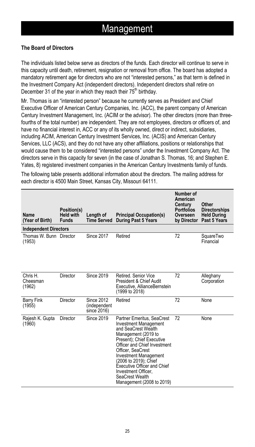### **Management**

#### <span id="page-26-0"></span>**The Board of Directors**

The individuals listed below serve as directors of the funds. Each director will continue to serve in this capacity until death, retirement, resignation or removal from office. The board has adopted a mandatory retirement age for directors who are not "interested persons," as that term is defined in the Investment Company Act (independent directors). Independent directors shall retire on December 31 of the year in which they reach their  $75<sup>th</sup>$  birthday.

Mr. Thomas is an "interested person" because he currently serves as President and Chief Executive Officer of American Century Companies, Inc. (ACC), the parent company of American Century Investment Management, Inc. (ACIM or the advisor). The other directors (more than threefourths of the total number) are independent. They are not employees, directors or officers of, and have no financial interest in, ACC or any of its wholly owned, direct or indirect, subsidiaries, including ACIM, American Century Investment Services, Inc. (ACIS) and American Century Services, LLC (ACS), and they do not have any other affiliations, positions or relationships that would cause them to be considered "interested persons" under the Investment Company Act. The directors serve in this capacity for seven (in the case of Jonathan S. Thomas, 16; and Stephen E. Yates, 8) registered investment companies in the American Century Investments family of funds.

The following table presents additional information about the directors. The mailing address for each director is 4500 Main Street, Kansas City, Missouri 64111.

| <b>Name</b><br>(Year of Birth)    | Position(s)<br><b>Held with</b><br>Funds | Length of<br><b>Time Served</b>                  | <b>Principal Occupation(s)</b><br><b>During Past 5 Years</b>                                                                                                                                                                                                                                                                                              | Number of<br>American<br>Century<br><b>Portfolios</b><br>Overseen<br>by Director | <b>Other</b><br><b>Directorships</b><br><b>Held During</b><br>Past 5 Years |
|-----------------------------------|------------------------------------------|--------------------------------------------------|-----------------------------------------------------------------------------------------------------------------------------------------------------------------------------------------------------------------------------------------------------------------------------------------------------------------------------------------------------------|----------------------------------------------------------------------------------|----------------------------------------------------------------------------|
| <b>Independent Directors</b>      |                                          |                                                  |                                                                                                                                                                                                                                                                                                                                                           |                                                                                  |                                                                            |
| Thomas W. Bunn Director<br>(1953) |                                          | <b>Since 2017</b>                                | Retired                                                                                                                                                                                                                                                                                                                                                   | 72                                                                               | SquareTwo<br>Financial                                                     |
| Chris H.<br>Cheesman<br>(1962)    | Director                                 | Since 2019                                       | Retired, Senior Vice<br>President & Chief Audit<br>Executive, AllianceBernstein<br>(1999 to 2018)                                                                                                                                                                                                                                                         | 72                                                                               | Alleghany<br>Corporation                                                   |
| <b>Barry Fink</b><br>(1955)       | Director                                 | <b>Since 2012</b><br>(independent<br>since 2016) | Retired                                                                                                                                                                                                                                                                                                                                                   | 72                                                                               | None                                                                       |
| Rajesh K. Gupta<br>(1960)         | Director                                 | Since 2019                                       | Partner Emeritus, SeaCrest<br><b>Investment Management</b><br>and SeaCrest Wealth<br>Management (2019 to<br>Present); Chief Executive<br>Officer and Chief Investment<br>Officer, SeaCrest<br>Investment Management<br>(2006 to 2019); Chief<br><b>Executive Officer and Chief</b><br>Investment Officer.<br>SeaCrest Wealth<br>Management (2008 to 2019) | 72                                                                               | None                                                                       |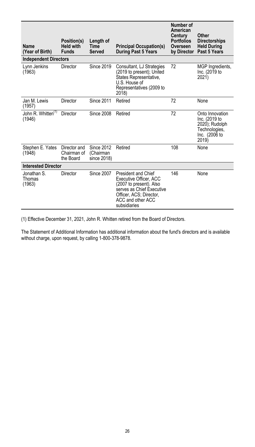| Name<br>(Year of Birth)                  | Position(s)<br><b>Held with</b><br><b>Funds</b> | Length of<br>Time<br><b>Served</b>            | <b>Principal Occupation(s)</b><br><b>During Past 5 Years</b>                                                                                                                 | Number of<br>American<br>Century<br><b>Portfolios</b><br><b>Overseen</b><br>by Director | <b>Other</b><br><b>Directorships</b><br><b>Held During</b><br>Past 5 Years                    |  |
|------------------------------------------|-------------------------------------------------|-----------------------------------------------|------------------------------------------------------------------------------------------------------------------------------------------------------------------------------|-----------------------------------------------------------------------------------------|-----------------------------------------------------------------------------------------------|--|
| <b>Independent Directors</b>             |                                                 |                                               |                                                                                                                                                                              |                                                                                         |                                                                                               |  |
| Lynn Jenkins<br>(1963)                   | Director                                        | Since 2019                                    | Consultant, LJ Strategies<br>(2019 to present); United<br>States Representative,<br>U.S. House of<br>Representatives (2009 to<br>2018)                                       | 72                                                                                      | MGP Ingredients,<br>Inc. (2019 to<br>2021)                                                    |  |
| Jan M. Lewis<br>(1957)                   | Director                                        | <b>Since 2011</b>                             | Retired                                                                                                                                                                      | 72                                                                                      | None                                                                                          |  |
| John R. Whitten <sup>(1)</sup><br>(1946) | Director                                        | <b>Since 2008</b>                             | Retired                                                                                                                                                                      | 72                                                                                      | Onto Innovation<br>Inc. (2019 to<br>2020); Rudolph<br>Technologies,<br>Inc. (2006 to<br>2019) |  |
| Stephen E. Yates<br>(1948)               | Director and<br>Chairman of<br>the Board        | <b>Since 2012</b><br>(Chairman<br>since 2018) | Retired                                                                                                                                                                      | 108                                                                                     | None                                                                                          |  |
| <b>Interested Director</b>               |                                                 |                                               |                                                                                                                                                                              |                                                                                         |                                                                                               |  |
| Jonathan S.<br>Thomas<br>(1963)          | Director                                        | <b>Since 2007</b>                             | <b>President and Chief</b><br>Executive Officer, ACC<br>(2007 to present). Also<br>serves as Chief Executive<br>Officer, ACS; Director,<br>ACC and other ACC<br>subsidiaries | 146                                                                                     | None                                                                                          |  |

(1) Effective December 31, 2021, John R. Whitten retired from the Board of Directors.

The Statement of Additional Information has additional information about the fund's directors and is available without charge, upon request, by calling 1-800-378-9878.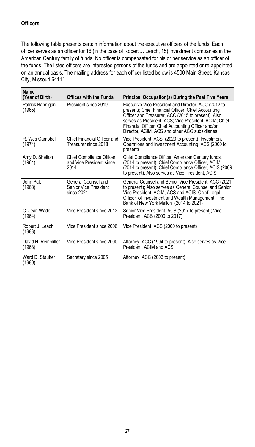#### **Officers**

The following table presents certain information about the executive officers of the funds. Each officer serves as an officer for 16 (in the case of Robert J. Leach, 15) investment companies in the American Century family of funds. No officer is compensated for his or her service as an officer of the funds. The listed officers are interested persons of the funds and are appointed or re-appointed on an annual basis. The mailing address for each officer listed below is 4500 Main Street, Kansas City, Missouri 64111.

| Name<br>(Year of Birth)       | <b>Offices with the Funds</b>                                       | <b>Principal Occupation(s) During the Past Five Years</b>                                                                                                                                                                                                                                                                         |
|-------------------------------|---------------------------------------------------------------------|-----------------------------------------------------------------------------------------------------------------------------------------------------------------------------------------------------------------------------------------------------------------------------------------------------------------------------------|
| Patrick Bannigan<br>(1965)    | President since 2019                                                | Executive Vice President and Director, ACC (2012 to<br>present); Chief Financial Officer, Chief Accounting<br>Officer and Treasurer, ACC (2015 to present). Also<br>serves as President, ACS; Vice President, ACIM; Chief<br>Financial Officer, Chief Accounting Officer and/or<br>Director, ACIM, ACS and other ACC subsidiaries |
| R. Wes Campbell<br>(1974)     | Chief Financial Officer and<br>Treasurer since 2018                 | Vice President, ACS, (2020 to present); Investment<br>Operations and Investment Accounting, ACS (2000 to<br>present)                                                                                                                                                                                                              |
| Amy D. Shelton<br>(1964)      | <b>Chief Compliance Officer</b><br>and Vice President since<br>2014 | Chief Compliance Officer, American Century funds,<br>(2014 to present); Chief Compliance Officer, ACIM<br>(2014 to present); Chief Compliance Officer, ACIS (2009<br>to present). Also serves as Vice President, ACIS                                                                                                             |
| John Pak<br>(1968)            | General Counsel and<br>Senior Vice President<br>since 2021          | General Counsel and Senior Vice President, ACC (2021<br>to present); Also serves as General Counsel and Senior<br>Vice President, ACIM, ACS and ACIS. Chief Legal<br>Officer of Investment and Wealth Management, The<br>Bank of New York Mellon (2014 to 2021)                                                                   |
| C. Jean Wade<br>(1964)        | Vice President since 2012                                           | Senior Vice President, ACS (2017 to present); Vice<br>President, ACS (2000 to 2017)                                                                                                                                                                                                                                               |
| Robert J. Leach<br>(1966)     | Vice President since 2006                                           | Vice President, ACS (2000 to present)                                                                                                                                                                                                                                                                                             |
| David H. Reinmiller<br>(1963) | Vice President since 2000                                           | Attorney, ACC (1994 to present). Also serves as Vice<br>President. ACIM and ACS                                                                                                                                                                                                                                                   |
| Ward D. Stauffer<br>(1960)    | Secretary since 2005                                                | Attorney, ACC (2003 to present)                                                                                                                                                                                                                                                                                                   |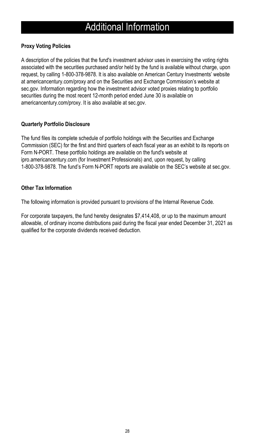#### <span id="page-29-0"></span>**Proxy Voting Policies**

A description of the policies that the fund's investment advisor uses in exercising the voting rights associated with the securities purchased and/or held by the fund is available without charge, upon request, by calling 1-800-378-9878. It is also available on American Century Investments' website at americancentury.com/proxy and on the Securities and Exchange Commission's website at sec.gov. Information regarding how the investment advisor voted proxies relating to portfolio securities during the most recent 12-month period ended June 30 is available on americancentury.com/proxy. It is also available at sec.gov.

#### **Quarterly Portfolio Disclosure**

The fund files its complete schedule of portfolio holdings with the Securities and Exchange Commission (SEC) for the first and third quarters of each fiscal year as an exhibit to its reports on Form N-PORT. These portfolio holdings are available on the fund's website at ipro.americancentury.com (for Investment Professionals) and, upon request, by calling 1-800-378-9878. The fund's Form N-PORT reports are available on the SEC's website at sec.gov.

#### **Other Tax Information**

The following information is provided pursuant to provisions of the Internal Revenue Code.

For corporate taxpayers, the fund hereby designates \$7,414,408, or up to the maximum amount allowable, of ordinary income distributions paid during the fiscal year ended December 31, 2021 as qualified for the corporate dividends received deduction.